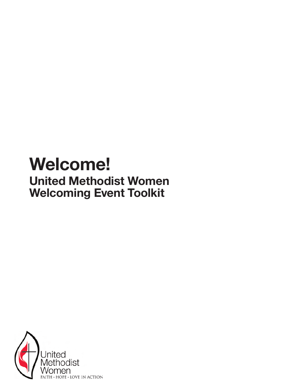# Welcome! United Methodist Women Welcoming Event Toolkit

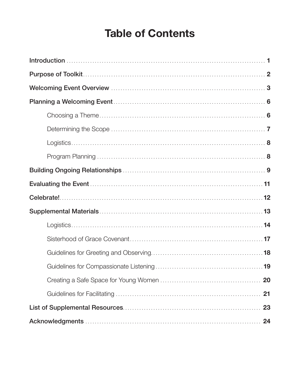### **Table of Contents**

| 21 |
|----|
|    |
|    |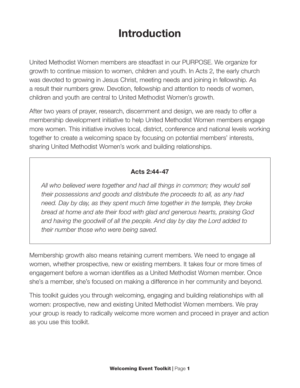### Introduction

United Methodist Women members are steadfast in our PURPOSE. We organize for growth to continue mission to women, children and youth. In Acts 2, the early church was devoted to growing in Jesus Christ, meeting needs and joining in fellowship. As a result their numbers grew. Devotion, fellowship and attention to needs of women, children and youth are central to United Methodist Women's growth.

After two years of prayer, research, discernment and design, we are ready to offer a membership development initiative to help United Methodist Women members engage more women. This initiative involves local, district, conference and national levels working together to create a welcoming space by focusing on potential members' interests, sharing United Methodist Women's work and building relationships.

#### Acts 2:44-47

*All who believed were together and had all things in common; they would sell their possessions and goods and distribute the proceeds to all, as any had need. Day by day, as they spent much time together in the temple, they broke bread at home and ate their food with glad and generous hearts, praising God and having the goodwill of all the people. And day by day the Lord added to their number those who were being saved.*

Membership growth also means retaining current members. We need to engage all women, whether prospective, new or existing members. It takes four or more times of engagement before a woman identifies as a United Methodist Women member. Once she's a member, she's focused on making a difference in her community and beyond.

This toolkit guides you through welcoming, engaging and building relationships with all women: prospective, new and existing United Methodist Women members. We pray your group is ready to radically welcome more women and proceed in prayer and action as you use this toolkit.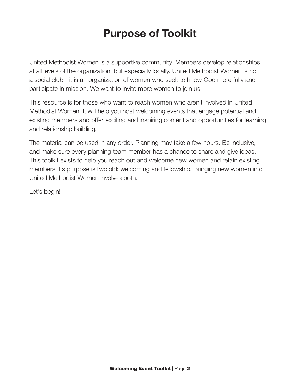### Purpose of Toolkit

United Methodist Women is a supportive community. Members develop relationships at all levels of the organization, but especially locally. United Methodist Women is not a social club—it is an organization of women who seek to know God more fully and participate in mission. We want to invite more women to join us.

This resource is for those who want to reach women who aren't involved in United Methodist Women. It will help you host welcoming events that engage potential and existing members and offer exciting and inspiring content and opportunities for learning and relationship building.

The material can be used in any order. Planning may take a few hours. Be inclusive, and make sure every planning team member has a chance to share and give ideas. This toolkit exists to help you reach out and welcome new women and retain existing members. Its purpose is twofold: welcoming and fellowship. Bringing new women into United Methodist Women involves both.

Let's begin!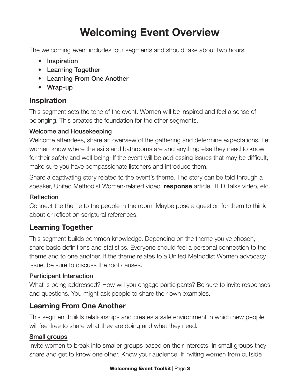## Welcoming Event Overview

The welcoming event includes four segments and should take about two hours:

- Inspiration
- Learning Together
- Learning From One Another
- Wrap-up

### Inspiration

This segment sets the tone of the event. Women will be inspired and feel a sense of belonging. This creates the foundation for the other segments.

### Welcome and Housekeeping

Welcome attendees, share an overview of the gathering and determine expectations. Let women know where the exits and bathrooms are and anything else they need to know for their safety and well-being. If the event will be addressing issues that may be difficult, make sure you have compassionate listeners and introduce them.

Share a captivating story related to the event's theme. The story can be told through a speaker, United Methodist Women-related video, **response** article, TED Talks video, etc.

### **Reflection**

Connect the theme to the people in the room. Maybe pose a question for them to think about or reflect on scriptural references.

### Learning Together

This segment builds common knowledge. Depending on the theme you've chosen, share basic definitions and statistics. Everyone should feel a personal connection to the theme and to one another. If the theme relates to a United Methodist Women advocacy issue, be sure to discuss the root causes.

### Participant Interaction

What is being addressed? How will you engage participants? Be sure to invite responses and questions. You might ask people to share their own examples.

### Learning From One Another

This segment builds relationships and creates a safe environment in which new people will feel free to share what they are doing and what they need.

### Small groups

Invite women to break into smaller groups based on their interests. In small groups they share and get to know one other. Know your audience. If inviting women from outside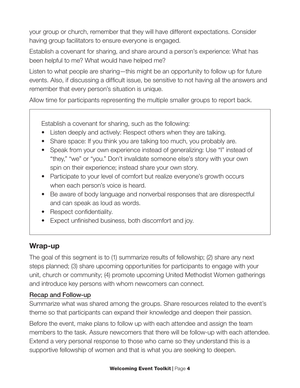your group or church, remember that they will have different expectations. Consider having group facilitators to ensure everyone is engaged.

Establish a covenant for sharing, and share around a person's experience: What has been helpful to me? What would have helped me?

Listen to what people are sharing—this might be an opportunity to follow up for future events. Also, if discussing a difficult issue, be sensitive to not having all the answers and remember that every person's situation is unique.

Allow time for participants representing the multiple smaller groups to report back.

Establish a covenant for sharing, such as the following:

- Listen deeply and actively: Respect others when they are talking.
- Share space: If you think you are talking too much, you probably are.
- Speak from your own experience instead of generalizing: Use "I" instead of "they," "we" or "you." Don't invalidate someone else's story with your own spin on their experience; instead share your own story.
- Participate to your level of comfort but realize everyone's growth occurs when each person's voice is heard.
- Be aware of body language and nonverbal responses that are disrespectful and can speak as loud as words.
- Respect confidentiality.
- Expect unfinished business, both discomfort and joy.

### Wrap-up

The goal of this segment is to (1) summarize results of fellowship; (2) share any next steps planned; (3) share upcoming opportunities for participants to engage with your unit, church or community; (4) promote upcoming United Methodist Women gatherings and introduce key persons with whom newcomers can connect.

### Recap and Follow-up

Summarize what was shared among the groups. Share resources related to the event's theme so that participants can expand their knowledge and deepen their passion.

Before the event, make plans to follow up with each attendee and assign the team members to the task. Assure newcomers that there will be follow-up with each attendee. Extend a very personal response to those who came so they understand this is a supportive fellowship of women and that is what you are seeking to deepen.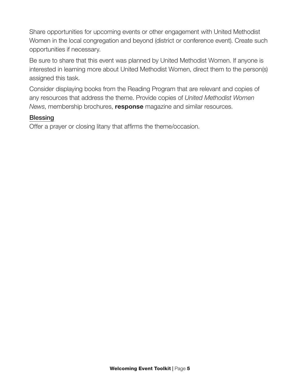Share opportunities for upcoming events or other engagement with United Methodist Women in the local congregation and beyond (district or conference event). Create such opportunities if necessary.

Be sure to share that this event was planned by United Methodist Women. If anyone is interested in learning more about United Methodist Women, direct them to the person(s) assigned this task.

Consider displaying books from the Reading Program that are relevant and copies of any resources that address the theme. Provide copies of *United Methodist Women News*, membership brochures, response magazine and similar resources.

#### **Blessing**

Offer a prayer or closing litany that affirms the theme/occasion.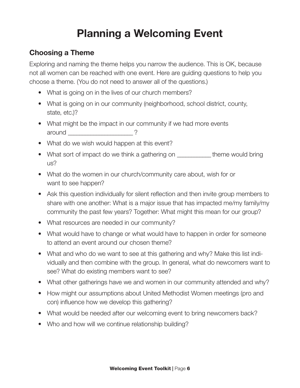## Planning a Welcoming Event

### Choosing a Theme

Exploring and naming the theme helps you narrow the audience. This is OK, because not all women can be reached with one event. Here are guiding questions to help you choose a theme. (You do not need to answer all of the questions.)

- What is going on in the lives of our church members?
- What is going on in our community (neighborhood, school district, county, state, etc.)?
- What might be the impact in our community if we had more events around 2
- What do we wish would happen at this event?
- What sort of impact do we think a gathering on \_\_\_\_\_\_\_\_\_\_\_ theme would bring us?
- What do the women in our church/community care about, wish for or want to see happen?
- Ask this question individually for silent reflection and then invite group members to share with one another: What is a major issue that has impacted me/my family/my community the past few years? Together: What might this mean for our group?
- What resources are needed in our community?
- What would have to change or what would have to happen in order for someone to attend an event around our chosen theme?
- What and who do we want to see at this gathering and why? Make this list individually and then combine with the group. In general, what do newcomers want to see? What do existing members want to see?
- What other gatherings have we and women in our community attended and why?
- How might our assumptions about United Methodist Women meetings (pro and con) influence how we develop this gathering?
- What would be needed after our welcoming event to bring newcomers back?
- Who and how will we continue relationship building?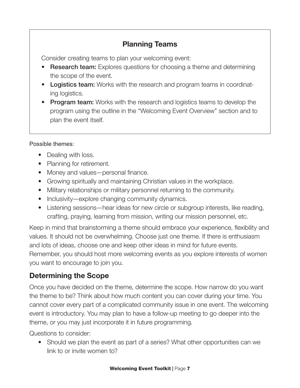### Planning Teams

Consider creating teams to plan your welcoming event:

- Research team: Explores questions for choosing a theme and determining the scope of the event.
- Logistics team: Works with the research and program teams in coordinating logistics.
- Program team: Works with the research and logistics teams to develop the program using the outline in the "Welcoming Event Overview" section and to plan the event itself.

### Possible themes:

- Dealing with loss.
- Planning for retirement.
- Money and values—personal finance.
- Growing spiritually and maintaining Christian values in the workplace.
- Military relationships or military personnel returning to the community.
- Inclusivity—explore changing community dynamics.
- Listening sessions—hear ideas for new circle or subgroup interests, like reading, crafting, praying, learning from mission, writing our mission personnel, etc.

Keep in mind that brainstorming a theme should embrace your experience, flexibility and values. It should not be overwhelming. Choose just one theme. If there is enthusiasm and lots of ideas, choose one and keep other ideas in mind for future events. Remember, you should host more welcoming events as you explore interests of women you want to encourage to join you.

### Determining the Scope

Once you have decided on the theme, determine the scope. How narrow do you want the theme to be? Think about how much content you can cover during your time. You cannot cover every part of a complicated community issue in one event. The welcoming event is introductory. You may plan to have a follow-up meeting to go deeper into the theme, or you may just incorporate it in future programming.

Questions to consider:

• Should we plan the event as part of a series? What other opportunities can we link to or invite women to?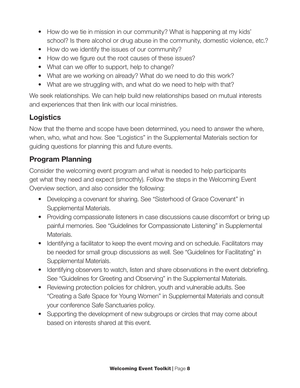- How do we tie in mission in our community? What is happening at my kids' school? Is there alcohol or drug abuse in the community, domestic violence, etc.?
- How do we identify the issues of our community?
- How do we figure out the root causes of these issues?
- What can we offer to support, help to change?
- What are we working on already? What do we need to do this work?
- What are we struggling with, and what do we need to help with that?

We seek relationships. We can help build new relationships based on mutual interests and experiences that then link with our local ministries.

### **Logistics**

Now that the theme and scope have been determined, you need to answer the where, when, who, what and how. See "Logistics" in the Supplemental Materials section for guiding questions for planning this and future events.

### Program Planning

Consider the welcoming event program and what is needed to help participants get what they need and expect (smoothly). Follow the steps in the Welcoming Event Overview section, and also consider the following:

- Developing a covenant for sharing. See "Sisterhood of Grace Covenant" in Supplemental Materials.
- Providing compassionate listeners in case discussions cause discomfort or bring up painful memories. See "Guidelines for Compassionate Listening" in Supplemental Materials.
- Identifying a facilitator to keep the event moving and on schedule. Facilitators may be needed for small group discussions as well. See "Guidelines for Facilitating" in Supplemental Materials.
- Identifying observers to watch, listen and share observations in the event debriefing. See "Guidelines for Greeting and Observing" in the Supplemental Materials.
- Reviewing protection policies for children, youth and vulnerable adults. See "Creating a Safe Space for Young Women" in Supplemental Materials and consult your conference Safe Sanctuaries policy.
- Supporting the development of new subgroups or circles that may come about based on interests shared at this event.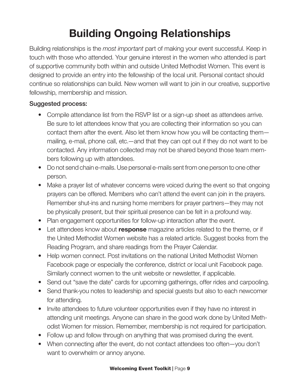# Building Ongoing Relationships

Building relationships is the *most important* part of making your event successful. Keep in touch with those who attended. Your genuine interest in the women who attended is part of supportive community both within and outside United Methodist Women. This event is designed to provide an entry into the fellowship of the local unit. Personal contact should continue so relationships can build. New women will want to join in our creative, supportive fellowship, membership and mission.

#### Suggested process:

- Compile attendance list from the RSVP list or a sign-up sheet as attendees arrive. Be sure to let attendees know that you are collecting their information so you can contact them after the event. Also let them know how you will be contacting them mailing, e-mail, phone call, etc.—and that they can opt out if they do not want to be contacted. Any information collected may not be shared beyond those team members following up with attendees.
- Do not send chain e-mails. Use personal e-mails sent from one person to one other person.
- Make a prayer list of whatever concerns were voiced during the event so that ongoing prayers can be offered. Members who can't attend the event can join in the prayers. Remember shut-ins and nursing home members for prayer partners—they may not be physically present, but their spiritual presence can be felt in a profound way.
- Plan engagement opportunities for follow-up interaction after the event.
- Let attendees know about response magazine articles related to the theme, or if the United Methodist Women website has a related article. Suggest books from the Reading Program, and share readings from the Prayer Calendar.
- Help women connect. Post invitations on the national United Methodist Women Facebook page or especially the conference, district or local unit Facebook page. Similarly connect women to the unit website or newsletter, if applicable.
- Send out "save the date" cards for upcoming gatherings, offer rides and carpooling.
- Send thank-you notes to leadership and special guests but also to each newcomer for attending.
- Invite attendees to future volunteer opportunities even if they have no interest in attending unit meetings. Anyone can share in the good work done by United Methodist Women for mission. Remember, membership is not required for participation.
- Follow up and follow through on anything that was promised during the event.
- When connecting after the event, do not contact attendees too often—you don't want to overwhelm or annoy anyone.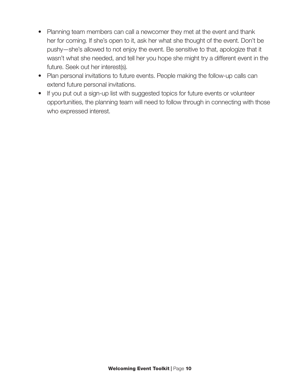- Planning team members can call a newcomer they met at the event and thank her for coming. If she's open to it, ask her what she thought of the event. Don't be pushy—she's allowed to not enjoy the event. Be sensitive to that, apologize that it wasn't what she needed, and tell her you hope she might try a different event in the future. Seek out her interest(s).
- Plan personal invitations to future events. People making the follow-up calls can extend future personal invitations.
- If you put out a sign-up list with suggested topics for future events or volunteer opportunities, the planning team will need to follow through in connecting with those who expressed interest.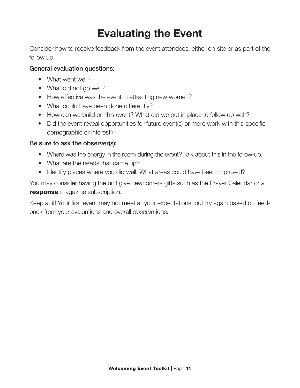## Evaluating the Event

Consider how to receive feedback from the event attendees, either on-site or as part of the follow up.

#### General evaluation questions:

- What went well?
- What did not go well?
- How effective was the event in attracting new women?
- What could have been done differently?
- How can we build on this event? What did we put in place to follow up with?
- Did the event reveal opportunities for future event(s) or more work with this specific demographic or interest?

#### Be sure to ask the observer(s):

- Where was the energy in the room during the event? Talk about this in the follow-up.
- What are the needs that came up?
- Identify places where you did well. What areas could have been improved?

You may consider having the unit give newcomers gifts such as the Prayer Calendar or a response magazine subscription.

Keep at it! Your first event may not meet all your expectations, but try again based on feedback from your evaluations and overall observations.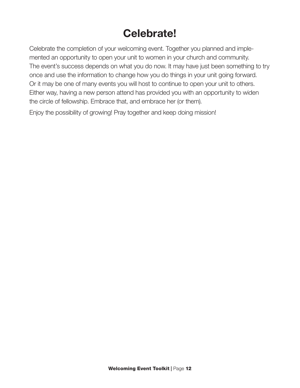## Celebrate!

Celebrate the completion of your welcoming event. Together you planned and implemented an opportunity to open your unit to women in your church and community. The event's success depends on what you do now. It may have just been something to try once and use the information to change how you do things in your unit going forward. Or it may be one of many events you will host to continue to open your unit to others. Either way, having a new person attend has provided you with an opportunity to widen the circle of fellowship. Embrace that, and embrace her (or them).

Enjoy the possibility of growing! Pray together and keep doing mission!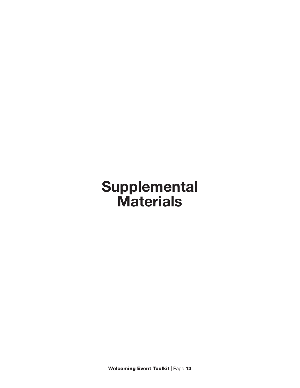# Supplemental **Materials**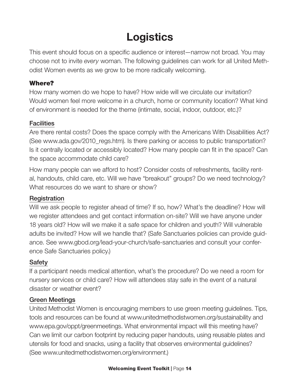## **Logistics**

This event should focus on a specific audience or interest—narrow not broad. You may choose not to invite *every* woman. The following guidelines can work for all United Methodist Women events as we grow to be more radically welcoming.

### Where?

How many women do we hope to have? How wide will we circulate our invitation? Would women feel more welcome in a church, home or community location? What kind of environment is needed for the theme (intimate, social, indoor, outdoor, etc.)?

### **Facilities**

Are there rental costs? Does the space comply with the Americans With Disabilities Act? (See www.ada.gov/2010\_regs.htm). Is there parking or access to public transportation? Is it centrally located or accessibly located? How many people can fit in the space? Can the space accommodate child care?

How many people can we afford to host? Consider costs of refreshments, facility rental, handouts, child care, etc. Will we have "breakout" groups? Do we need technology? What resources do we want to share or show?

### **Registration**

Will we ask people to register ahead of time? If so, how? What's the deadline? How will we register attendees and get contact information on-site? Will we have anyone under 18 years old? How will we make it a safe space for children and youth? Will vulnerable adults be invited? How will we handle that? (Safe Sanctuaries policies can provide guidance. See www.gbod.org/lead-your-church/safe-sanctuaries and consult your conference Safe Sanctuaries policy.)

### **Safety**

If a participant needs medical attention, what's the procedure? Do we need a room for nursery services or child care? How will attendees stay safe in the event of a natural disaster or weather event?

### Green Meetings

United Methodist Women is encouraging members to use green meeting guidelines. Tips, tools and resources can be found at www.unitedmethodistwomen.org/sustainability and www.epa.gov/oppt/greenmeetings. What environmental impact will this meeting have? Can we limit our carbon footprint by reducing paper handouts, using reusable plates and utensils for food and snacks, using a facility that observes environmental guidelines? (See www.unitedmethodistwomen.org/environment.)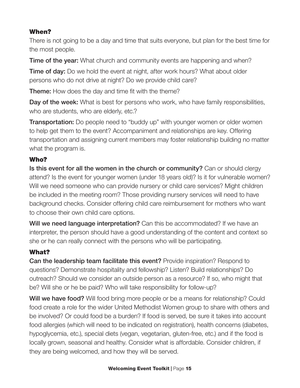### When?

There is not going to be a day and time that suits everyone, but plan for the best time for the most people.

**Time of the year:** What church and community events are happening and when?

**Time of day:** Do we hold the event at night, after work hours? What about older persons who do not drive at night? Do we provide child care?

**Theme:** How does the day and time fit with the theme?

Day of the week: What is best for persons who work, who have family responsibilities, who are students, who are elderly, etc.?

**Transportation:** Do people need to "buddy up" with younger women or older women to help get them to the event? Accompaniment and relationships are key. Offering transportation and assigning current members may foster relationship building no matter what the program is.

### Who?

Is this event for all the women in the church or community? Can or should clergy attend? Is the event for younger women (under 18 years old)? Is it for vulnerable women? Will we need someone who can provide nursery or child care services? Might children be included in the meeting room? Those providing nursery services will need to have background checks. Consider offering child care reimbursement for mothers who want to choose their own child care options.

Will we need language interpretation? Can this be accommodated? If we have an interpreter, the person should have a good understanding of the content and context so she or he can really connect with the persons who will be participating.

### What?

Can the leadership team facilitate this event? Provide inspiration? Respond to questions? Demonstrate hospitality and fellowship? Listen? Build relationships? Do outreach? Should we consider an outside person as a resource? If so, who might that be? Will she or he be paid? Who will take responsibility for follow-up?

Will we have food? Will food bring more people or be a means for relationship? Could food create a role for the wider United Methodist Women group to share with others and be involved? Or could food be a burden? If food is served, be sure it takes into account food allergies (which will need to be indicated on registration), health concerns (diabetes, hypoglycemia, etc.), special diets (vegan, vegetarian, gluten-free, etc.) and if the food is locally grown, seasonal and healthy. Consider what is affordable. Consider children, if they are being welcomed, and how they will be served.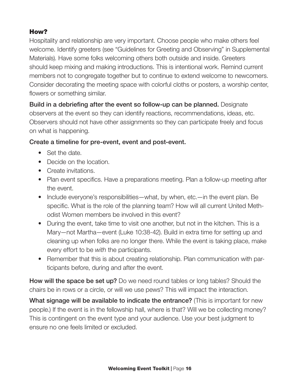### How?

Hospitality and relationship are very important. Choose people who make others feel welcome. Identify greeters (see "Guidelines for Greeting and Observing" in Supplemental Materials). Have some folks welcoming others both outside and inside. Greeters should keep mixing and making introductions. This is intentional work. Remind current members not to congregate together but to continue to extend welcome to newcomers. Consider decorating the meeting space with colorful cloths or posters, a worship center, flowers or something similar.

Build in a debriefing after the event so follow-up can be planned. Designate observers at the event so they can identify reactions, recommendations, ideas, etc. Observers should not have other assignments so they can participate freely and focus on what is happening.

### Create a timeline for pre-event, event and post-event.

- Set the date.
- Decide on the location.
- Create invitations.
- Plan event specifics. Have a preparations meeting. Plan a follow-up meeting after the event.
- Include everyone's responsibilities—what, by when, etc.—in the event plan. Be specific. What is the role of the planning team? How will all current United Methodist Women members be involved in this event?
- During the event, take time to visit one another, but not in the kitchen. This is a Mary—not Martha—event (Luke 10:38-42). Build in extra time for setting up and cleaning up when folks are no longer there. While the event is taking place, make every effort to be *with* the participants.
- Remember that this is about creating relationship. Plan communication with participants before, during and after the event.

How will the space be set up? Do we need round tables or long tables? Should the chairs be in rows or a circle, or will we use pews? This will impact the interaction.

What signage will be available to indicate the entrance? (This is important for new people.) If the event is in the fellowship hall, where is that? Will we be collecting money? This is contingent on the event type and your audience. Use your best judgment to ensure no one feels limited or excluded.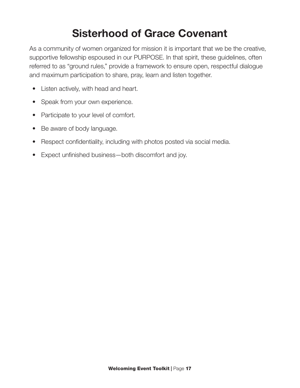## Sisterhood of Grace Covenant

As a community of women organized for mission it is important that we be the creative, supportive fellowship espoused in our PURPOSE. In that spirit, these guidelines, often referred to as "ground rules," provide a framework to ensure open, respectful dialogue and maximum participation to share, pray, learn and listen together.

- Listen actively, with head and heart.
- Speak from your own experience.
- Participate to your level of comfort.
- Be aware of body language.
- Respect confidentiality, including with photos posted via social media.
- Expect unfinished business—both discomfort and joy.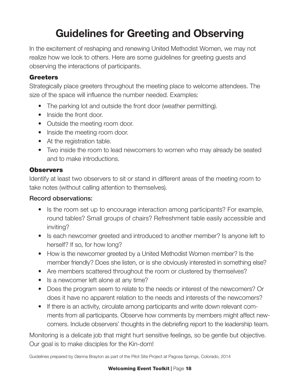## Guidelines for Greeting and Observing

In the excitement of reshaping and renewing United Methodist Women, we may not realize how we look to others. Here are some guidelines for greeting guests and observing the interactions of participants.

### **Greeters**

Strategically place greeters throughout the meeting place to welcome attendees. The size of the space will influence the number needed. Examples:

- The parking lot and outside the front door (weather permitting).
- Inside the front door.
- Outside the meeting room door.
- Inside the meeting room door.
- At the registration table.
- Two inside the room to lead newcomers to women who may already be seated and to make introductions.

### **Observers**

Identify at least two observers to sit or stand in different areas of the meeting room to take notes (without calling attention to themselves).

### Record observations:

- Is the room set up to encourage interaction among participants? For example, round tables? Small groups of chairs? Refreshment table easily accessible and inviting?
- Is each newcomer greeted and introduced to another member? Is anyone left to herself? If so, for how long?
- How is the newcomer greeted by a United Methodist Women member? Is the member friendly? Does she listen, or is she obviously interested in something else?
- Are members scattered throughout the room or clustered by themselves?
- Is a newcomer left alone at any time?
- Does the program seem to relate to the needs or interest of the newcomers? Or does it have no apparent relation to the needs and interests of the newcomers?
- If there is an activity, circulate among participants and write down relevant comments from all participants. Observe how comments by members might affect newcomers. Include observers' thoughts in the debriefing report to the leadership team.

Monitoring is a delicate job that might hurt sensitive feelings, so be gentle but objective. Our goal is to make disciples for the Kin-dom!

Guidelines prepared by Glenna Brayton as part of the Pilot Site Project at Pagosa Springs, Colorado, 2014

#### Welcoming Event Toolkit | Page 18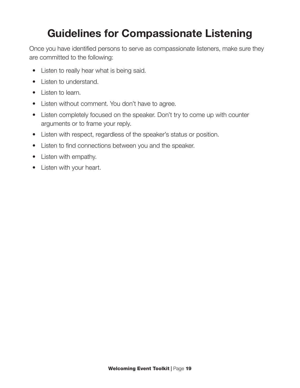## Guidelines for Compassionate Listening

Once you have identified persons to serve as compassionate listeners, make sure they are committed to the following:

- Listen to really hear what is being said.
- Listen to understand.
- Listen to learn.
- Listen without comment. You don't have to agree.
- Listen completely focused on the speaker. Don't try to come up with counter arguments or to frame your reply.
- Listen with respect, regardless of the speaker's status or position.
- Listen to find connections between you and the speaker.
- Listen with empathy.
- Listen with your heart.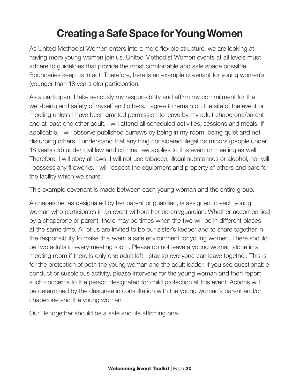## Creating a Safe Space for Young Women

As United Methodist Women enters into a more flexible structure, we are looking at having more young women join us. United Methodist Women events at all levels must adhere to guidelines that provide the most comfortable and safe space possible. Boundaries keep us intact. Therefore, here is an example covenant for young women's (younger than 18 years old) participation:

As a participant I take seriously my responsibility and affirm my commitment for the well-being and safety of myself and others. I agree to remain on the site of the event or meeting unless I have been granted permission to leave by my adult chaperone/parent and at least one other adult. I will attend all scheduled activities, sessions and meals. If applicable, I will observe published curfews by being in my room, being quiet and not disturbing others. I understand that anything considered illegal for minors (people under 18 years old) under civil law and criminal law applies to this event or meeting as well. Therefore, I will obey all laws. I will not use tobacco, illegal substances or alcohol, nor will I possess any fireworks. I will respect the equipment and property of others and care for the facility which we share.

This example covenant is made between each young woman and the entire group.

A chaperone, as designated by her parent or guardian, is assigned to each young woman who participates in an event without her parent/guardian. Whether accompanied by a chaperone or parent, there may be times when the two will be in different places at the same time. All of us are invited to be our sister's keeper and to share together in the responsibility to make this event a safe environment for young women. There should be two adults in every meeting room. Please do not leave a young woman alone in a meeting room if there is only one adult left—stay so everyone can leave together. This is for the protection of both the young woman and the adult leader. If you see questionable conduct or suspicious activity, please intervene for the young woman and then report such concerns to the person designated for child protection at this event. Actions will be determined by the designee in consultation with the young woman's parent and/or chaperone and the young woman.

Our life together should be a safe and life affirming one.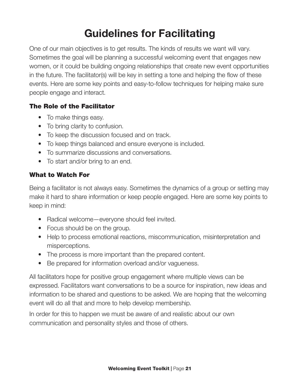## Guidelines for Facilitating

One of our main objectives is to get results. The kinds of results we want will vary. Sometimes the goal will be planning a successful welcoming event that engages new women, or it could be building ongoing relationships that create new event opportunities in the future. The facilitator(s) will be key in setting a tone and helping the flow of these events. Here are some key points and easy-to-follow techniques for helping make sure people engage and interact.

### The Role of the Facilitator

- To make things easy.
- To bring clarity to confusion.
- To keep the discussion focused and on track.
- To keep things balanced and ensure everyone is included.
- To summarize discussions and conversations.
- To start and/or bring to an end.

### What to Watch For

Being a facilitator is not always easy. Sometimes the dynamics of a group or setting may make it hard to share information or keep people engaged. Here are some key points to keep in mind:

- Radical welcome—everyone should feel invited.
- Focus should be on the group.
- Help to process emotional reactions, miscommunication, misinterpretation and misperceptions.
- The process is more important than the prepared content.
- Be prepared for information overload and/or vagueness.

All facilitators hope for positive group engagement where multiple views can be expressed. Facilitators want conversations to be a source for inspiration, new ideas and information to be shared and questions to be asked. We are hoping that the welcoming event will do all that and more to help develop membership.

In order for this to happen we must be aware of and realistic about our own communication and personality styles and those of others.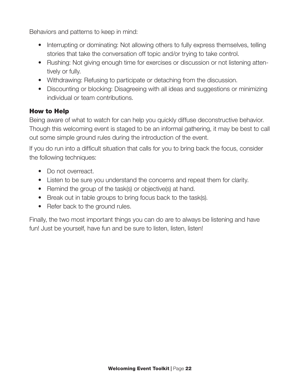Behaviors and patterns to keep in mind:

- Interrupting or dominating: Not allowing others to fully express themselves, telling stories that take the conversation off topic and/or trying to take control.
- Rushing: Not giving enough time for exercises or discussion or not listening attentively or fully.
- Withdrawing: Refusing to participate or detaching from the discussion.
- Discounting or blocking: Disagreeing with all ideas and suggestions or minimizing individual or team contributions.

### How to Help

Being aware of what to watch for can help you quickly diffuse deconstructive behavior. Though this welcoming event is staged to be an informal gathering, it may be best to call out some simple ground rules during the introduction of the event.

If you do run into a difficult situation that calls for you to bring back the focus, consider the following techniques:

- Do not overreact.
- Listen to be sure you understand the concerns and repeat them for clarity.
- Remind the group of the task(s) or objective(s) at hand.
- Break out in table groups to bring focus back to the task(s).
- Refer back to the ground rules.

Finally, the two most important things you can do are to always be listening and have fun! Just be yourself, have fun and be sure to listen, listen, listen!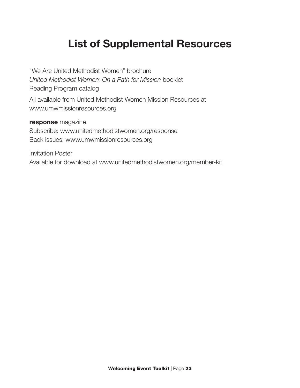### List of Supplemental Resources

"We Are United Methodist Women" brochure *United Methodist Women: On a Path for Mission* booklet Reading Program catalog All available from United Methodist Women Mission Resources at www.umwmissionresources.org

#### response magazine

Subscribe: www.unitedmethodistwomen.org/response Back issues: www.umwmissionresources.org

Invitation Poster Available for download at www.unitedmethodistwomen.org/member-kit